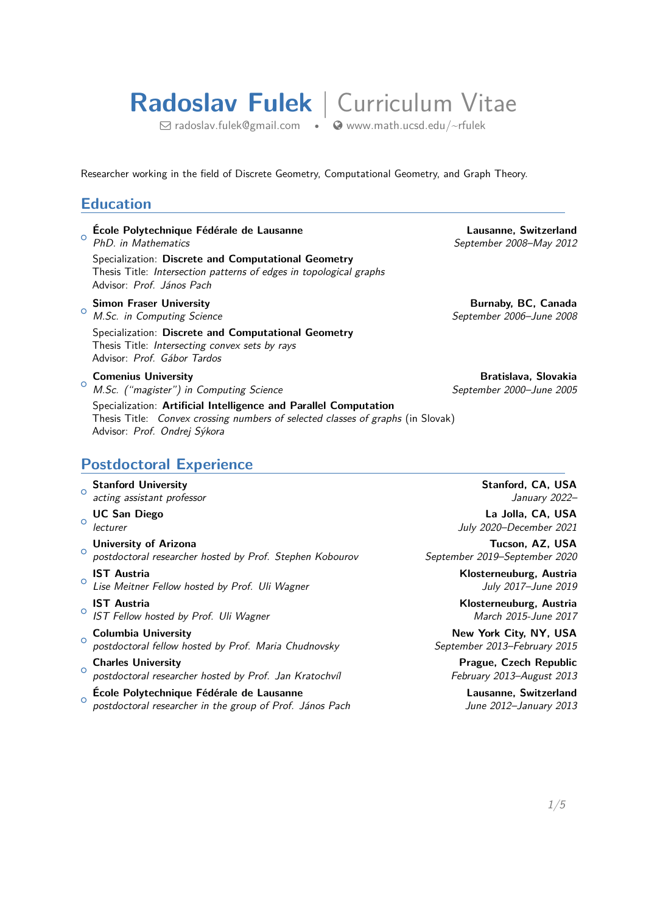# **Radoslav Fulek** | Curriculum Vitae

 $\boxdot$  [radoslav.fulek@gmail.com](mailto:radoslav.fulek@gmail.com) •  $\bigcirc$  [www.math.ucsd.edu/~rfulek](http://www.math.ucsd.edu/~rfulek)

Researcher working in the field of Discrete Geometry, Computational Geometry, and Graph Theory.

#### **Education**

○␣ **École Polytechnique Fédérale de Lausanne Lausanne, Switzerland** *PhD. in Mathematics September 2008–May 2012* Specialization: **Discrete and Computational Geometry**

Thesis Title: *Intersection patterns of edges in topological graphs* Advisor: *Prof. János Pach*

#### $\Omega$

*M.Sc. in Computing Science September 2006–June 2008* Specialization: **Discrete and Computational Geometry** Thesis Title: *Intersecting convex sets by rays* Advisor: *Prof. Gábor Tardos*

○␣ *M.Sc. ("magister") in Computing Science September 2000–June 2005* Specialization: **Artificial Intelligence and Parallel Computation** Thesis Title: *Convex crossing numbers of selected classes of graphs* (in Slovak) Advisor: *Prof. Ondrej Sýkora*

**Simon Fraser University Burnaby, BC, Canada**

**Comenius University Bratislava, Slovakia** 

#### **Postdoctoral Experience**

#### ○␣ **Stanford University Stanford, CA, USA** *acting assistant professor January 2022–*  $\Omega$ **UC San Diego La Jolla, CA, USA** *lecturer July 2020–December 2021* ○␣ **University of Arizona Tucson, AZ, USA** *postdoctoral researcher hosted by Prof. Stephen Kobourov September 2019–September 2020* ○␣ **IST Austria Klosterneuburg, Austria** *Lise Meitner Fellow hosted by Prof. Uli Wagner July 2017–June 2019* ○␣ **IST Austria Klosterneuburg, Austria** *IST Fellow hosted by Prof. Uli Wagner March 2015-June 2017*  $\triangle$ **Columbia University New York City, NY, USA** *postdoctoral fellow hosted by Prof. Maria Chudnovsky September 2013–February 2015* **Charles University Prague, Czech Republic**

- ○␣ *postdoctoral researcher hosted by Prof. Jan Kratochvíl February 2013–August 2013*
- ○␣ **École Polytechnique Fédérale de Lausanne Lausanne, Switzerland** *postdoctoral researcher in the group of Prof. János Pach June 2012–January 2013*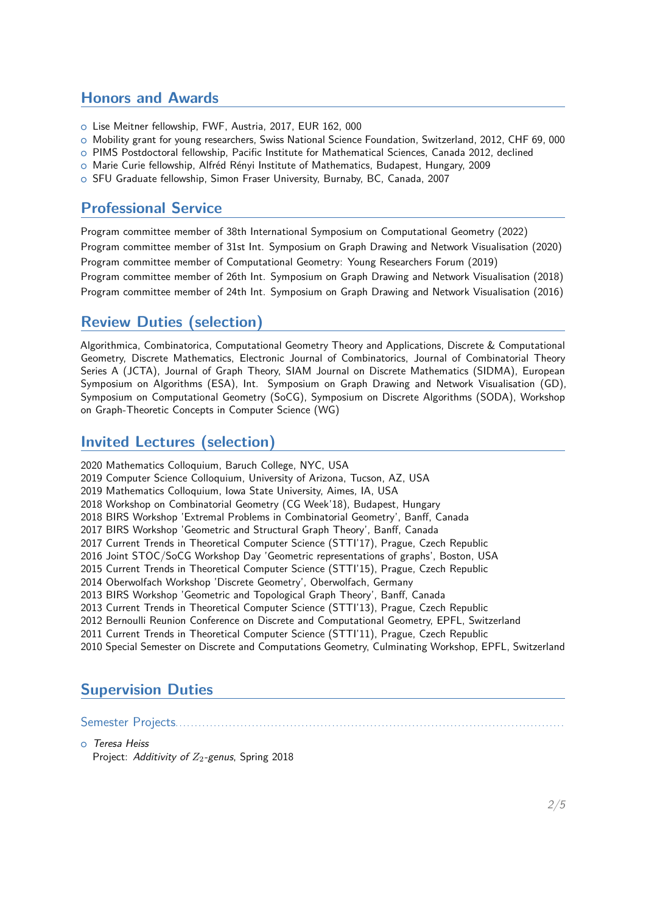#### **Honors and Awards**

- ○␣ Lise Meitner fellowship, FWF, Austria, 2017, EUR 162, 000
- ○␣ Mobility grant for young researchers, Swiss National Science Foundation, Switzerland, 2012, CHF 69, 000
- ○␣ PIMS Postdoctoral fellowship, Pacific Institute for Mathematical Sciences, Canada 2012, declined
- ○␣ Marie Curie fellowship, Alfréd Rényi Institute of Mathematics, Budapest, Hungary, 2009
- ○␣ SFU Graduate fellowship, Simon Fraser University, Burnaby, BC, Canada, 2007

#### **Professional Service**

Program committee member of 38th International Symposium on Computational Geometry (2022) Program committee member of 31st Int. Symposium on Graph Drawing and Network Visualisation (2020) Program committee member of Computational Geometry: Young Researchers Forum (2019) Program committee member of 26th Int. Symposium on Graph Drawing and Network Visualisation (2018) Program committee member of 24th Int. Symposium on Graph Drawing and Network Visualisation (2016)

## **Review Duties (selection)**

Algorithmica, Combinatorica, Computational Geometry Theory and Applications, Discrete & Computational Geometry, Discrete Mathematics, Electronic Journal of Combinatorics, Journal of Combinatorial Theory Series A (JCTA), Journal of Graph Theory, SIAM Journal on Discrete Mathematics (SIDMA), European Symposium on Algorithms (ESA), Int. Symposium on Graph Drawing and Network Visualisation (GD), Symposium on Computational Geometry (SoCG), Symposium on Discrete Algorithms (SODA), Workshop on Graph-Theoretic Concepts in Computer Science (WG)

#### **Invited Lectures (selection)**

2020 Mathematics Colloquium, Baruch College, NYC, USA 2019 Computer Science Colloquium, University of Arizona, Tucson, AZ, USA 2019 Mathematics Colloquium, Iowa State University, Aimes, IA, USA 2018 Workshop on Combinatorial Geometry (CG Week'18), Budapest, Hungary 2018 BIRS Workshop 'Extremal Problems in Combinatorial Geometry', Banff, Canada 2017 BIRS Workshop 'Geometric and Structural Graph Theory', Banff, Canada 2017 Current Trends in Theoretical Computer Science (STTI'17), Prague, Czech Republic 2016 Joint STOC/SoCG Workshop Day 'Geometric representations of graphs', Boston, USA 2015 Current Trends in Theoretical Computer Science (STTI'15), Prague, Czech Republic 2014 Oberwolfach Workshop 'Discrete Geometry', Oberwolfach, Germany 2013 BIRS Workshop 'Geometric and Topological Graph Theory', Banff, Canada 2013 Current Trends in Theoretical Computer Science (STTI'13), Prague, Czech Republic 2012 Bernoulli Reunion Conference on Discrete and Computational Geometry, EPFL, Switzerland 2011 Current Trends in Theoretical Computer Science (STTI'11), Prague, Czech Republic 2010 Special Semester on Discrete and Computations Geometry, Culminating Workshop, EPFL, Switzerland

# **Supervision Duties**

Semester Projects. . . . . . . . . . . . . . . . . . . . . . . . . . . . . . . . . . . . . . . . . . . . . . . . . . . . . . . . . . . . . . . . . . . . . . . . . . . . . . . . . . . . . . . . . . . . . . . . . . . . . .

#### ○␣ *Teresa Heiss*

Project: *Additivity of Z<sub>2</sub>-genus*, Spring 2018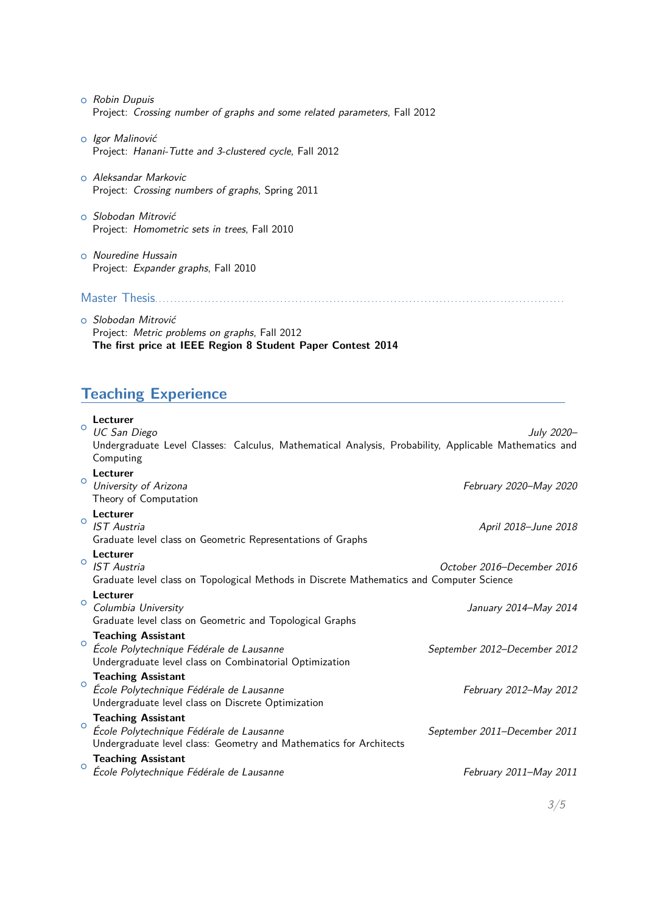- ○␣ *Robin Dupuis* Project: *Crossing number of graphs and some related parameters*, Fall 2012
- ○␣ *Igor Malinović* Project: *Hanani-Tutte and 3-clustered cycle*, Fall 2012
- ○␣ *Aleksandar Markovic* Project: *Crossing numbers of graphs*, Spring 2011
- ○␣ *Slobodan Mitrović* Project: *Homometric sets in trees*, Fall 2010
- ○␣ *Nouredine Hussain* Project: *Expander graphs*, Fall 2010

#### Master Thesis. . . . . . . . . . . . . . . . . . . . . . . . . . . . . . . . . . . . . . . . . . . . . . . . . . . . . . . . . . . . . . . . . . . . . . . . . . . . . . . . . . . . . . . . . . . . . . . . . . . . . . . . . . . .

○␣ *Slobodan Mitrović* Project: *Metric problems on graphs*, Fall 2012 **The first price at IEEE Region 8 Student Paper Contest 2014**

## **Teaching Experience**

| $\circ$ | Lecturer<br>UC San Diego<br>Undergraduate Level Classes: Calculus, Mathematical Analysis, Probability, Applicable Mathematics and<br>Computing | July 2020-                   |
|---------|------------------------------------------------------------------------------------------------------------------------------------------------|------------------------------|
| $\circ$ | Lecturer<br>University of Arizona<br>Theory of Computation                                                                                     | February 2020-May 2020       |
| $\circ$ | Lecturer<br><b>IST</b> Austria<br>Graduate level class on Geometric Representations of Graphs                                                  | April 2018–June 2018         |
| $\circ$ | Lecturer<br><b>IST</b> Austria<br>Graduate level class on Topological Methods in Discrete Mathematics and Computer Science                     | October 2016–December 2016   |
| $\circ$ | Lecturer<br>Columbia University<br>Graduate level class on Geometric and Topological Graphs                                                    | January 2014–May 2014        |
| $\circ$ | <b>Teaching Assistant</b><br>École Polytechnique Fédérale de Lausanne<br>Undergraduate level class on Combinatorial Optimization               | September 2012-December 2012 |
| $\circ$ | <b>Teaching Assistant</b><br>École Polytechnique Fédérale de Lausanne<br>Undergraduate level class on Discrete Optimization                    | February 2012-May 2012       |
| $\circ$ | <b>Teaching Assistant</b><br>École Polytechnique Fédérale de Lausanne<br>Undergraduate level class: Geometry and Mathematics for Architects    | September 2011-December 2011 |
| $\circ$ | <b>Teaching Assistant</b><br>École Polytechnique Fédérale de Lausanne                                                                          | February 2011–May 2011       |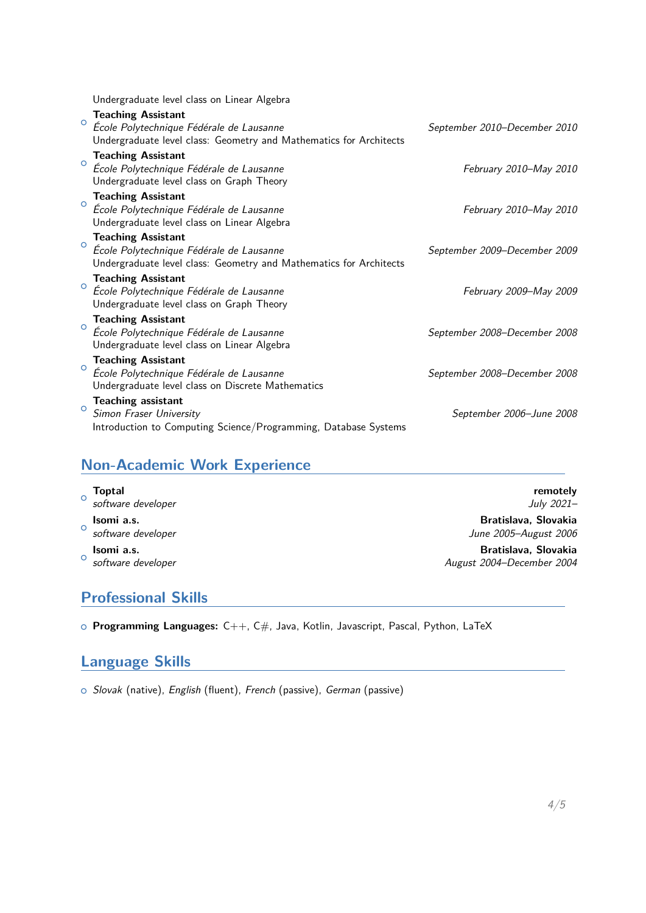Undergraduate level class on Linear Algebra

| $\circ$ | <b>Teaching Assistant</b><br>École Polytechnique Fédérale de Lausanne<br>Undergraduate level class: Geometry and Mathematics for Architects | September 2010-December 2010 |
|---------|---------------------------------------------------------------------------------------------------------------------------------------------|------------------------------|
| $\circ$ | <b>Teaching Assistant</b><br>École Polytechnique Fédérale de Lausanne<br>Undergraduate level class on Graph Theory                          | February 2010-May 2010       |
| $\circ$ | <b>Teaching Assistant</b><br>École Polytechnique Fédérale de Lausanne<br>Undergraduate level class on Linear Algebra                        | February 2010-May 2010       |
| $\circ$ | <b>Teaching Assistant</b><br>École Polytechnique Fédérale de Lausanne<br>Undergraduate level class: Geometry and Mathematics for Architects | September 2009-December 2009 |
| $\circ$ | <b>Teaching Assistant</b><br>École Polytechnique Fédérale de Lausanne<br>Undergraduate level class on Graph Theory                          | February 2009–May 2009       |
| $\circ$ | <b>Teaching Assistant</b><br>École Polytechnique Fédérale de Lausanne<br>Undergraduate level class on Linear Algebra                        | September 2008–December 2008 |
| $\circ$ | <b>Teaching Assistant</b><br>École Polytechnique Fédérale de Lausanne<br>Undergraduate level class on Discrete Mathematics                  | September 2008-December 2008 |
| $\circ$ | Teaching assistant<br>Simon Fraser University<br>Introduction to Computing Science/Programming, Database Systems                            | September 2006-June 2008     |

# **Non-Academic Work Experience**

| $\circ$ | <b>Toptal</b><br>software developer           | remotely<br>July 2021-                            |
|---------|-----------------------------------------------|---------------------------------------------------|
|         | Isomi a.s.<br><sup>o</sup> software developer | Bratislava, Slovakia<br>June 2005-August 2006     |
| $\circ$ | Isomi a.s.<br>software developer              | Bratislava, Slovakia<br>August 2004-December 2004 |

# **Professional Skills**

○␣ **Programming Languages:** C++, C#, Java, Kotlin, Javascript, Pascal, Python, LaTeX

#### **Language Skills**

○␣ *Slovak* (native), *English* (fluent), *French* (passive), *German* (passive)